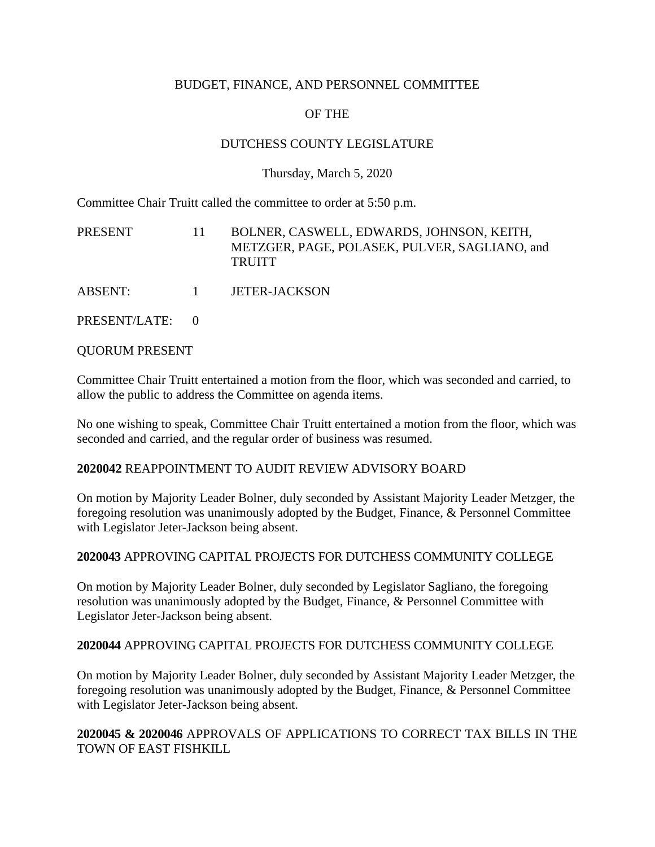## BUDGET, FINANCE, AND PERSONNEL COMMITTEE

# OF THE

# DUTCHESS COUNTY LEGISLATURE

### Thursday, March 5, 2020

Committee Chair Truitt called the committee to order at 5:50 p.m.

| PRESENT         | 11                     | BOLNER, CASWELL, EDWARDS, JOHNSON, KEITH,<br>METZGER, PAGE, POLASEK, PULVER, SAGLIANO, and<br><b>TRUITT</b> |
|-----------------|------------------------|-------------------------------------------------------------------------------------------------------------|
| ABSENT:         | $\sim$ 1 $\sim$ $\sim$ | <b>JETER-JACKSON</b>                                                                                        |
| PRESENT/LATE: 0 |                        |                                                                                                             |

QUORUM PRESENT

Committee Chair Truitt entertained a motion from the floor, which was seconded and carried, to allow the public to address the Committee on agenda items.

No one wishing to speak, Committee Chair Truitt entertained a motion from the floor, which was seconded and carried, and the regular order of business was resumed.

#### **2020042** REAPPOINTMENT TO AUDIT REVIEW ADVISORY BOARD

On motion by Majority Leader Bolner, duly seconded by Assistant Majority Leader Metzger, the foregoing resolution was unanimously adopted by the Budget, Finance, & Personnel Committee with Legislator Jeter-Jackson being absent.

#### **2020043** APPROVING CAPITAL PROJECTS FOR DUTCHESS COMMUNITY COLLEGE

On motion by Majority Leader Bolner, duly seconded by Legislator Sagliano, the foregoing resolution was unanimously adopted by the Budget, Finance, & Personnel Committee with Legislator Jeter-Jackson being absent.

#### **2020044** APPROVING CAPITAL PROJECTS FOR DUTCHESS COMMUNITY COLLEGE

On motion by Majority Leader Bolner, duly seconded by Assistant Majority Leader Metzger, the foregoing resolution was unanimously adopted by the Budget, Finance, & Personnel Committee with Legislator Jeter-Jackson being absent.

### **2020045 & 2020046** APPROVALS OF APPLICATIONS TO CORRECT TAX BILLS IN THE TOWN OF EAST FISHKILL